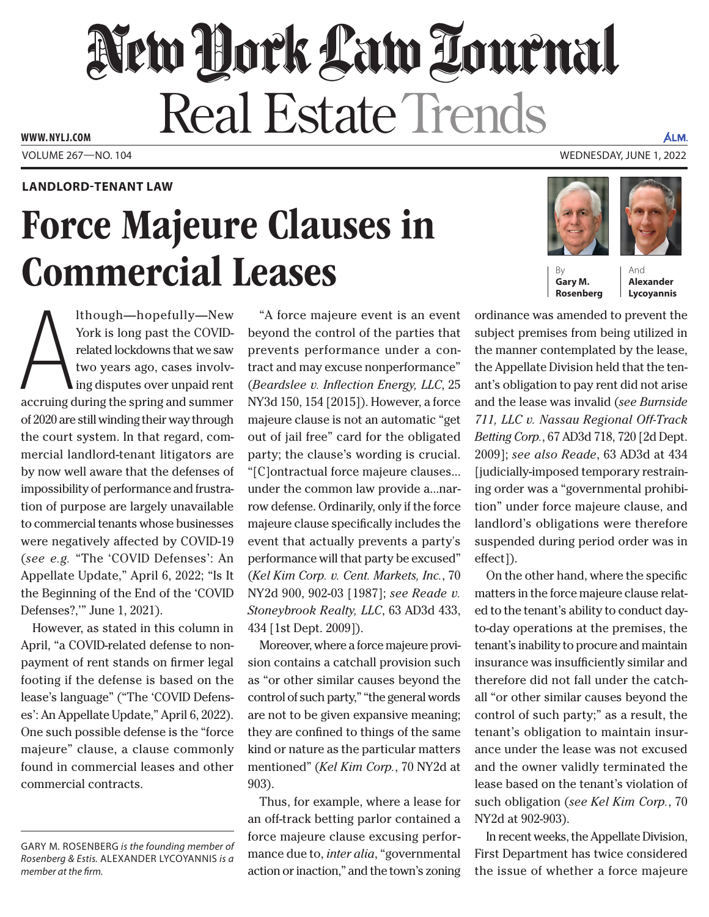## New Hork Law Lournal Real Estate Trends **WWW. NYLJ.COM**

## **LANDLORD-TENANT LAW**

## Force Majeure Clauses in Commercial Leases

Ithough—hopefully—New<br>York is long past the COVID-<br>related lockdowns that we saw<br>two years ago, cases involv-<br>ing disputes over unpaid rent<br>accruing during the spring and summer lthough—hopefully—New York is long past the COVIDrelated lockdowns that we saw two years ago, cases involving disputes over unpaid rent of 2020 are still winding their way through the court system. In that regard, commercial landlord-tenant litigators are by now well aware that the defenses of impossibility of performance and frustration of purpose are largely unavailable to commercial tenants whose businesses were negatively affected by COVID-19 (*see e.g.* "The 'COVID Defenses': An Appellate Update," April 6, 2022; "Is It the Beginning of the End of the 'COVID Defenses?,'" June 1, 2021).

However, as stated in this column in April, "a COVID-related defense to nonpayment of rent stands on firmer legal footing if the defense is based on the lease's language" ("The 'COVID Defenses': An Appellate Update," April 6, 2022). One such possible defense is the "force majeure" clause, a clause commonly found in commercial leases and other commercial contracts.

"A force majeure event is an event beyond the control of the parties that prevents performance under a contract and may excuse nonperformance" (*Beardslee v. Inflection Energy, LLC*, 25 NY3d 150, 154 [2015]). However, a force majeure clause is not an automatic "get out of jail free" card for the obligated party; the clause's wording is crucial. "[C]ontractual force majeure clauses... under the common law provide a...narrow defense. Ordinarily, only if the force majeure clause specifically includes the event that actually prevents a party's performance will that party be excused" (*Kel Kim Corp. v. Cent. Markets, Inc.*, 70 NY2d 900, 902-03 [1987]; *see Reade v. Stoneybrook Realty, LLC*, 63 AD3d 433, 434 [1st Dept. 2009]).

Moreover, where a force majeure provision contains a catchall provision such as "or other similar causes beyond the control of such party," "the general words are not to be given expansive meaning; they are confined to things of the same kind or nature as the particular matters mentioned" (*Kel Kim Corp.*, 70 NY2d at 903).

Thus, for example, where a lease for an off-track betting parlor contained a force majeure clause excusing performance due to, *inter alia*, "governmental action or inaction," and the town's zoning

VOLUME 267—NO. 104 WEDNESDAY, JUNE 1, 2022



**Gary M. Rosenberg**

And **Alexander Lycoyannis**

ÁLM,

ordinance was amended to prevent the subject premises from being utilized in the manner contemplated by the lease, the Appellate Division held that the tenant's obligation to pay rent did not arise and the lease was invalid (*see Burnside 711, LLC v. Nassau Regional Off-Track Betting Corp.*, 67 AD3d 718, 720 [2d Dept. 2009]; *see also Reade*, 63 AD3d at 434 [judicially-imposed temporary restraining order was a "governmental prohibition" under force majeure clause, and landlord's obligations were therefore suspended during period order was in effect]).

On the other hand, where the specific matters in the force majeure clause related to the tenant's ability to conduct dayto-day operations at the premises, the tenant's inability to procure and maintain insurance was insufficiently similar and therefore did not fall under the catchall "or other similar causes beyond the control of such party;" as a result, the tenant's obligation to maintain insurance under the lease was not excused and the owner validly terminated the lease based on the tenant's violation of such obligation (*see Kel Kim Corp.*, 70 NY2d at 902-903).

In recent weeks, the Appellate Division, First Department has twice considered the issue of whether a force majeure

GARY M. ROSENBERG *is the founding member of Rosenberg & Estis.* ALEXANDER LYCOYANNIS *is a member at the firm.*